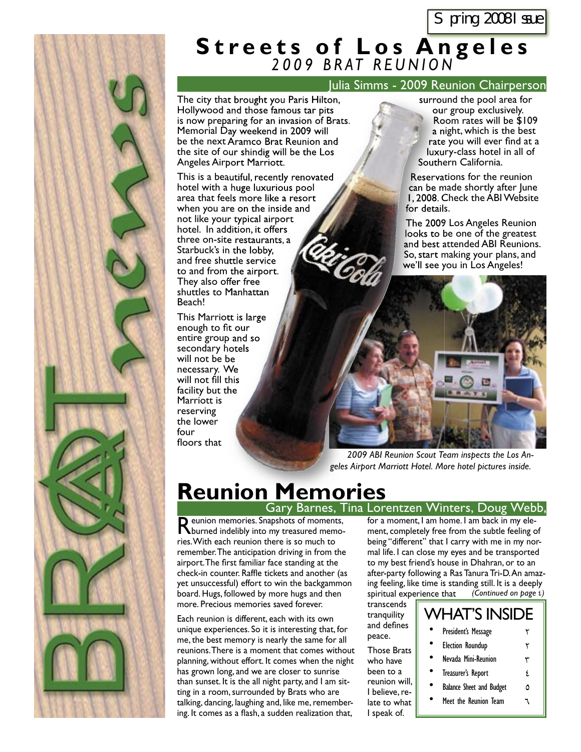### **Streets of Los Angeles** *2 0 0 9 B R AT R E U N I O N*

### Julia Simms - 2009 Reunion Chairperson

The city that brought you Paris Hilton, Hollywood and those famous tar pits is now preparing for an invasion of Brats. Memorial Day weekend in 2009 will be the next Aramco Brat Reunion and the site of our shindig will be the Los Angeles Airport Marriott.

This is a beautiful, recently renovated hotel with a huge luxurious pool area that feels more like a resort when you are on the inside and not like your typical airport hotel. In addition, it offers three on-site restaurants, a Starbuck's in the lobby, and free shuttle service to and from the airport. They also offer free shuttles to Manhattan Beach! Airport Marriott.<br>beautiful, recently<br>h a huge luxurious<br>feels more like a 1<br>u are on the inside<br>your typical airport<br>addition, it offers<br>site restaurants, a<br>'s in the lobby,

This Marriott is large enough to fit our entire group and so secondary hotels will not be be necessary. We will not fill this facility but the Marriott is reserving the lower four floors that

surround the pool area for our group exclusively. Room rates will be \$109 a night, which is the best rate you will ever find at a luxury-class hotel in all of Southern California.

Reservations for the reunion can be made shortly after June 1, 2008. Check the ABI Website for details.

The 2009 Los Angeles Reunion looks to be one of the greatest and best attended ABI Reunions. a So, start making your plans, and we'll see you in Los Angeles!



*2009 ABI Reunion Scout Team inspects the Los Angeles Airport Marriott Hotel. More hotel pictures inside.*

### **Reunion Memories** Gary Barnes, Tina Lorentzen Winters, Doug Webb,

Reunion memories. Snapshots of moments, burned indelibly into my treasured memories. With each reunion there is so much to remember. The anticipation driving in from the airport. The first familiar face standing at the check-in counter. Raffle tickets and another (as yet unsuccessful) effort to win the backgammon board. Hugs, followed by more hugs and then more. Precious memories saved forever.

Each reunion is different, each with its own unique experiences. So it is interesting that, for me, the best memory is nearly the same for all reunions. There is a moment that comes without planning, without effort. It comes when the night has grown long, and we are closer to sunrise than sunset. It is the all night party, and I am sitting in a room, surrounded by Brats who are talking, dancing, laughing and, like me, remembering. It comes as a flash, a sudden realization that,

for a moment, I am home. I am back in my element, completely free from the subtle feeling of being "different" that I carry with me in my normal life. I can close my eyes and be transported to my best friend's house in Dhahran, or to an after-party following a Ras Tanura Tri-D. An amazing feeling, like time is standing still. It is a deeply spiritual experience that *(Continued on page* 4*)*

transcends tranquility and defines peace.

| Those Brats    |
|----------------|
| who have       |
| been to a      |
| reunion will,  |
| I believe. re- |
| late to what   |
| I speak of.    |

| <b>WHAT'S INSIDE</b>            |    |
|---------------------------------|----|
| President's Message             |    |
| <b>Election Roundup</b>         | ۲  |
| Nevada Mini-Reunion             | ٣  |
| Treasurer's Report              | ۶. |
| <b>Balance Sheet and Budget</b> | Δ  |
| Meet the Reunion Team           |    |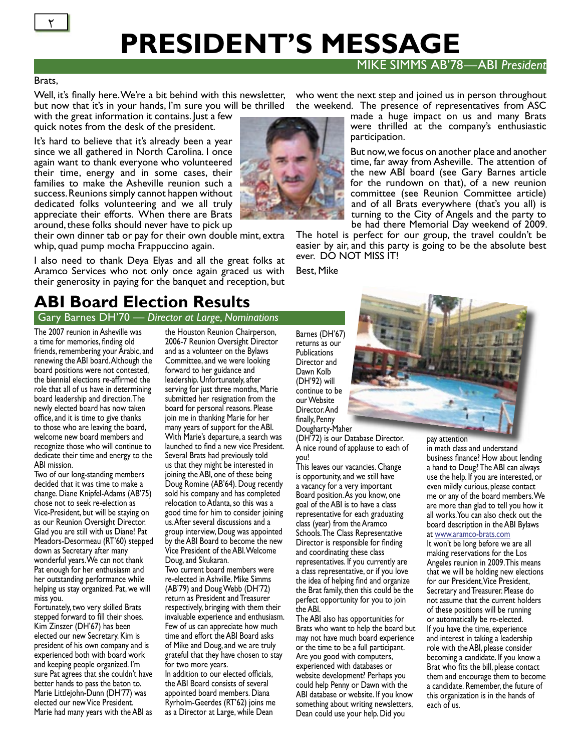# **PRESIDENT'S MESSAGE**

### MIKE SIMMS AB'78—ABI *President*

#### Brats,

Well, it's finally here. We're a bit behind with this newsletter, but now that it's in your hands, I'm sure you will be thrilled

with the great information it contains. Just a few quick notes from the desk of the president.

It's hard to believe that it's already been a year since we all gathered in North Carolina. I once again want to thank everyone who volunteered their time, energy and in some cases, their families to make the Asheville reunion such a success. Reunions simply cannot happen without dedicated folks volunteering and we all truly appreciate their efforts. When there are Brats around, these folks should never have to pick up

their own dinner tab or pay for their own double mint, extra whip, quad pump mocha Frappuccino again.

I also need to thank Deya Elyas and all the great folks at Aramco Services who not only once again graced us with their generosity in paying for the banquet and reception, but

### **ABI Board Election Results**

Gary Barnes DH'70 — *Director at Large, Nominations*

The 2007 reunion in Asheville was a time for memories, finding old friends, remembering your Arabic, and renewing the ABI board. Although the board positions were not contested, the biennial elections re-affirmed the role that all of us have in determining board leadership and direction. The newly elected board has now taken office, and it is time to give thanks to those who are leaving the board, welcome new board members and recognize those who will continue to dedicate their time and energy to the ABI mission.

Two of our long-standing members decided that it was time to make a change. Diane Knipfel-Adams (AB'75) chose not to seek re-election as Vice-President, but will be staying on as our Reunion Oversight Director. Glad you are still with us Diane! Pat Meadors-Desormeau (RT'60) stepped down as Secretary after many wonderful years. We can not thank Pat enough for her enthusiasm and her outstanding performance while helping us stay organized. Pat, we will miss you.

Fortunately, two very skilled Brats stepped forward to fill their shoes. Kim Zinszer (DH'67) has been elected our new Secretary. Kim is president of his own company and is experienced both with board work and keeping people organized. I'm sure Pat agrees that she couldn't have better hands to pass the baton to. Marie Littlejohn-Dunn (DH'77) was elected our new Vice President. Marie had many years with the ABI as

the Houston Reunion Chairperson, 2006-7 Reunion Oversight Director and as a volunteer on the Bylaws Committee, and we were looking forward to her guidance and leadership. Unfortunately, after serving for just three months, Marie submitted her resignation from the board for personal reasons. Please join me in thanking Marie for her many years of support for the ABI. With Marie's departure, a search was launched to find a new vice President. Several Brats had previously told us that they might be interested in joining the ABI, one of these being Doug Romine (AB'64). Doug recently sold his company and has completed relocation to Atlanta, so this was a good time for him to consider joining us. After several discussions and a group interview, Doug was appointed by the ABI Board to become the new Vice President of the ABI. Welcome Doug, and Skukaran.

Two current board members were re-elected in Ashville. Mike Simms (AB'79) and Doug Webb (DH'72) return as President and Treasurer respectively, bringing with them their invaluable experience and enthusiasm. Few of us can appreciate how much time and effort the ABI Board asks of Mike and Doug, and we are truly grateful that they have chosen to stay for two more years.

In addition to our elected officials, the ABI Board consists of several appointed board members. Diana Ryrholm-Geerdes (RT'62) joins me as a Director at Large, while Dean

who went the next step and joined us in person throughout the weekend. The presence of representatives from ASC

made a huge impact on us and many Brats were thrilled at the company's enthusiastic participation.

But now, we focus on another place and another time, far away from Asheville. The attention of the new ABI board (see Gary Barnes article for the rundown on that), of a new reunion committee (see Reunion Committee article) and of all Brats everywhere (that's you all) is turning to the City of Angels and the party to be had there Memorial Day weekend of 2009.

The hotel is perfect for our group, the travel couldn't be easier by air, and this party is going to be the absolute best ever. DO NOT MISS IT!

Best, Mike

Barnes (DH'67) returns as our **Publications** Director and Dawn Kolb (DH'92) will continue to be our Website Director. And finally, Penny Dougharty-Maher

(DH'72) is our Database Director. A nice round of applause to each of you!

This leaves our vacancies. Change is opportunity, and we still have a vacancy for a very important Board position. As you know, one goal of the ABI is to have a class representative for each graduating class (year) from the Aramco Schools. The Class Representative Director is responsible for finding and coordinating these class representatives. If you currently are a class representative, or if you love the idea of helping find and organize the Brat family, then this could be the perfect opportunity for you to join the ABI.

The ABI also has opportunities for Brats who want to help the board but may not have much board experience or the time to be a full participant. Are you good with computers, experienced with databases or website development? Perhaps you could help Penny or Dawn with the ABI database or website. If you know something about writing newsletters, Dean could use your help. Did you

pay attention

in math class and understand business finance? How about lending a hand to Doug? The ABI can always use the help. If you are interested, or even mildly curious, please contact me or any of the board members. We are more than glad to tell you how it all works. You can also check out the board description in the ABI Bylaws at www.aramco-brats.com

It won't be long before we are all making reservations for the Los Angeles reunion in 2009. This means that we will be holding new elections for our President, Vice President, Secretary and Treasurer. Please do not assume that the current holders of these positions will be running or automatically be re-elected. If you have the time, experience and interest in taking a leadership role with the ABI, please consider becoming a candidate. If you know a Brat who fits the bill, please contact them and encourage them to become a candidate. Remember, the future of this organization is in the hands of each of us.

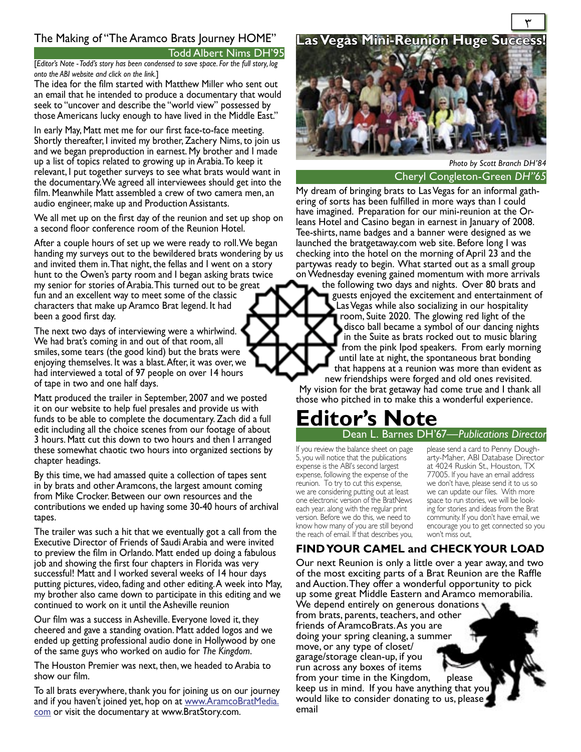### The Making of "The Aramco Brats Journey HOME" **Las Vegas Mini-Reunion Huge Success!**

Todd Albert Nims DH'95

[*Editor's Note - Todd's story has been condensed to save space. For the full story, log onto the ABI website and click on the link.*]

The idea for the film started with Matthew Miller who sent out an email that he intended to produce a documentary that would seek to "uncover and describe the "world view" possessed by those Americans lucky enough to have lived in the Middle East."

In early May, Matt met me for our first face-to-face meeting. Shortly thereafter, I invited my brother, Zachery Nims, to join us and we began preproduction in earnest. My brother and I made up a list of topics related to growing up in Arabia. To keep it relevant, I put together surveys to see what brats would want in the documentary. We agreed all interviewees should get into the film. Meanwhile Matt assembled a crew of two camera men, an audio engineer, make up and Production Assistants.

We all met up on the first day of the reunion and set up shop on a second floor conference room of the Reunion Hotel.

After a couple hours of set up we were ready to roll. We began handing my surveys out to the bewildered brats wondering by us and invited them in. That night, the fellas and I went on a story hunt to the Owen's party room and I began asking brats twice my senior for stories of Arabia. This turned out to be great fun and an excellent way to meet some of the classic characters that make up Aramco Brat legend. It had been a good first day.

The next two days of interviewing were a whirlwind. We had brat's coming in and out of that room, all smiles, some tears (the good kind) but the brats were enjoying themselves. It was a blast. After, it was over, we had interviewed a total of 97 people on over 14 hours of tape in two and one half days.

Matt produced the trailer in September, 2007 and we posted it on our website to help fuel presales and provide us with funds to be able to complete the documentary. Zach did a full edit including all the choice scenes from our footage of about 3 hours. Matt cut this down to two hours and then I arranged these somewhat chaotic two hours into organized sections by chapter headings.

By this time, we had amassed quite a collection of tapes sent in by brats and other Aramcons, the largest amount coming from Mike Crocker. Between our own resources and the contributions we ended up having some 30-40 hours of archival tapes.

The trailer was such a hit that we eventually got a call from the Executive Director of Friends of Saudi Arabia and were invited to preview the film in Orlando. Matt ended up doing a fabulous job and showing the first four chapters in Florida was very successful! Matt and I worked several weeks of 14 hour days putting pictures, video, fading and other editing. A week into May, my brother also came down to participate in this editing and we continued to work on it until the Asheville reunion

Our film was a success in Asheville. Everyone loved it, they cheered and gave a standing ovation. Matt added logos and we ended up getting professional audio done in Hollywood by one of the same guys who worked on audio for *The Kingdom*.

The Houston Premier was next, then, we headed to Arabia to show our film.

To all brats everywhere, thank you for joining us on our journey and if you haven't joined yet, hop on at www.AramcoBratMedia. com or visit the documentary at www.BratStory.com.



Cheryl Congleton-Green *DH''65 Photo by Scott Branch DH'84*

My dream of bringing brats to Las Vegas for an informal gathering of sorts has been fulfilled in more ways than I could have imagined. Preparation for our mini-reunion at the Orleans Hotel and Casino began in earnest in January of 2008. Tee-shirts, name badges and a banner were designed as we launched the bratgetaway.com web site. Before long I was checking into the hotel on the morning of April 23 and the partywas ready to begin. What started out as a small group on Wednesday evening gained momentum with more arrivals

the following two days and nights. Over 80 brats and guests enjoyed the excitement and entertainment of Las Vegas while also socializing in our hospitality room, Suite 2020. The glowing red light of the disco ball became a symbol of our dancing nights in the Suite as brats rocked out to music blaring from the pink Ipod speakers. From early morning until late at night, the spontaneous brat bonding that happens at a reunion was more than evident as new friendships were forged and old ones revisited.

My vision for the brat getaway had come true and I thank all those who pitched in to make this a wonderful experience.

## **Editor's Note**

Dean L. Barnes DH'67*—Publications Director*

If you review the balance sheet on page 5, you will notice that the publications expense is the ABI's second largest expense, following the expense of the reunion. To try to cut this expense, we are considering putting out at least one electronic version of the BratNews each year. along with the regular print version. Before we do this, we need to know how many of you are still beyond the reach of email. If that describes you,

please send a card to Penny Dougharty-Maher, ABI Database Director at 4024 Ruskin St., Houston, TX 77005. If you have an email address we don't have, please send it to us so we can update our files. With more space to run stories, we will be looking for stories and ideas from the Brat community. If you don't have email, we encourage you to get connected so you won't miss out,

### **FIND YOUR CAMEL and CHECK YOUR LOAD**

Our next Reunion is only a little over a year away, and two of the most exciting parts of a Brat Reunion are the Raffle and Auction. They offer a wonderful opportunity to pick up some great Middle Eastern and Aramco memorabilia. We depend entirely on generous donations from brats, parents, teachers, and other friends of AramcoBrats. As you are doing your spring cleaning, a summer move, or any type of closet/ garage/storage clean-up, if you run across any boxes of items from your time in the Kingdom, please keep us in mind. If you have anything that you would like to consider donating to us, please email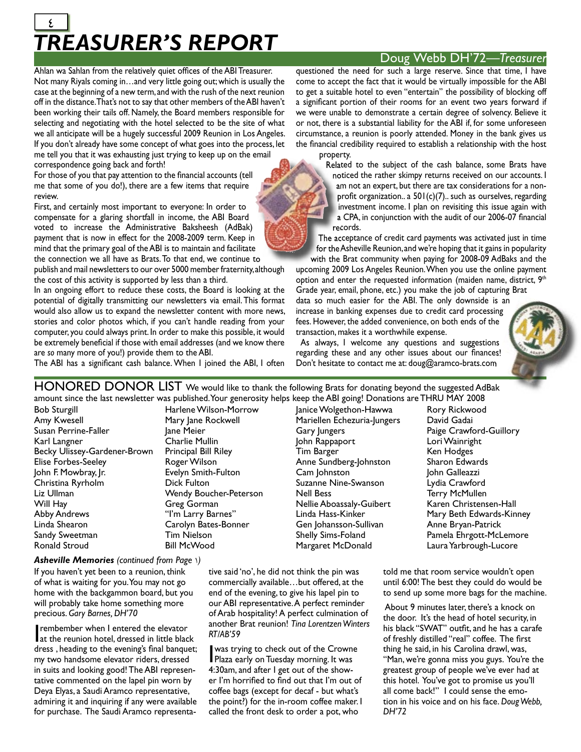### *TREASURER'S REPORT*  $\frac{2}{\sqrt{2}}$

### Doug Webb DH'72*—Treasurer*

Ahlan wa Sahlan from the relatively quiet offices of the ABI Treasurer. Not many Riyals coming in…and very little going out; which is usually the case at the beginning of a new term, and with the rush of the next reunion off in the distance. That's not to say that other members of the ABI haven't been working their tails off. Namely, the Board members responsible for selecting and negotiating with the hotel selected to be the site of what we all anticipate will be a hugely successful 2009 Reunion in Los Angeles. If you don't already have some concept of what goes into the process, let me tell you that it was exhausting just trying to keep up on the email correspondence going back and forth!

For those of you that pay attention to the financial accounts (tell me that some of you do!), there are a few items that require review.

First, and certainly most important to everyone: In order to compensate for a glaring shortfall in income, the ABI Board voted to increase the Administrative Baksheesh (AdBak) payment that is now in effect for the 2008-2009 term. Keep in mind that the primary goal of the ABI is to maintain and facilitate the connection we all have as Brats. To that end, we continue to many interving to keep up on the email are property.<br>
Brats.To the financial accounts (tell<br>
re are a few items that require<br>
trant to everyone: In order to<br>
trant to everyone: In order to<br>
trant in income, the ABI Board<br>

publish and mail newsletters to our over 5000 member fraternity, although the cost of this activity is supported by less than a third.

In an ongoing effort to reduce these costs, the Board is looking at the potential of digitally transmitting our newsletters via email. This format would also allow us to expand the newsletter content with more news, stories and color photos which, if you can't handle reading from your computer, you could always print. In order to make this possible, it would be extremely beneficial if those with email addresses (and we know there are *so* many more of you!) provide them to the ABI. popument that is now in effect to the 2008-2008 term. Near in the constraint of the constraint of the constraint of the constraint of the constraint of the constraint of the capturing properties of the state of the state

The ABI has a significant cash balance. When I joined the ABI, I often

questioned the need for such a large reserve. Since that time, I have come to accept the fact that it would be virtually impossible for the ABI to get a suitable hotel to even "entertain" the possibility of blocking off a significant portion of their rooms for an event two years forward if we were unable to demonstrate a certain degree of solvency. Believe it or not, there is a substantial liability for the ABI if, for some unforeseen circumstance, a reunion is poorly attended. Money in the bank gives us the financial credibility required to establish a relationship with the host

property.

Related to the subject of the cash balance, some Brats have noticed the rather skimpy returns received on our accounts. I am not an expert, but there are tax considerations for a nonprofit organization.. a  $501(c)(7)$ .. such as ourselves, regarding profit organization.. a  $501(c)(7)$ .. such as ourselves, regarding<br>investment income. I plan on revisiting this issue again with a CPA, in conjunction with the audit of our 2006-07 financial<br>records. records.

The acceptance of credit card payments was activated just in time for the Asheville Reunion, and we're hoping that it gains in popularity with the Brat community when paying for 2008-09 AdBaks and the

upcoming 2009 Los Angeles Reunion. When you use the online payment option and enter the requested information (maiden name, district,  $9<sup>th</sup>$ Grade year, email, phone, etc.) you make the job of capturing Brat

data so much easier for the ABI. The only downside is an increase in banking expenses due to credit card processing fees. However, the added convenience, on both ends of the transaction, makes it a worthwhile expense.

 As always, I welcome any questions and suggestions regarding these and any other issues about our finances! Don't hesitate to contact me at: doug@aramco-brats.com



HONORED DONOR LIST We would like to thank the following Brats for donating beyond the suggested AdBak amount since the last newsletter was published. Your generosity helps keep the ABI going! Donations are THRU MAY 2008

Bob Sturgill Amy Kwesell Susan Perrine-Faller Karl Langner Becky Ulissey-Gardener-Brown Elise Forbes-Seeley John F. Mowbray, Jr. Christina Ryrholm Liz Ullman Will Hay Abby Andrews Linda Shearon Sandy Sweetman Ronald Stroud

Mary Jane Rockwell Jane Meier Charlie Mullin Principal Bill Riley Roger Wilson Evelyn Smith-Fulton Dick Fulton Wendy Boucher-Peterson Greg Gorman "I'm Larry Barnes" Carolyn Bates-Bonner Tim Nielson Bill McWood

Harlene Wilson-Morrow

Janice Wolgethon-Hawwa Mariellen Echezuria-Jungers Gary Jungers John Rappaport Tim Barger Anne Sundberg-Johnston Cam Johnston Suzanne Nine-Swanson Nell Bess Nellie Aboassaly-Guibert Linda Hass-Kinker Gen Johansson-Sullivan Shelly Sims-Foland Margaret McDonald

Rory Rickwood David Gadai Paige Crawford-Guillory Lori Wainright Ken Hodges Sharon Edwards John Galleazzi Lydia Crawford Terry McMullen Karen Christensen-Hall Mary Beth Edwards-Kinney Anne Bryan-Patrick Pamela Ehrgott-McLemore Laura Yarbrough-Lucore

*Asheville Memories (continued from Page* 1*)*

of what is waiting for you. You may not go home with the backgammon board, but you will probably take home something more precious. *Gary Barnes, DH'70*

rembember when I entered the elevator<br>at the reunion hotel, dressed in little black rembember when I entered the elevator dress, heading to the evening's final banquet; my two handsome elevator riders, dressed in suits and looking good! The ABI representative commented on the lapel pin worn by Deya Elyas, a Saudi Aramco representative, admiring it and inquiring if any were available for purchase. The Saudi Aramco representative said 'no', he did not think the pin was commercially available…but offered, at the end of the evening, to give his lapel pin to our ABI representative. A perfect reminder of Arab hospitality! A perfect culmination of another Brat reunion! *Tina Lorentzen Winters RT/AB'59*

I was trying to check out of the Crowne Plaza early on Tuesday morning. It was 4:30am, and after I get out of the shower I'm horrified to find out that I'm out of coffee bags (except for decaf - but what's the point?) for the in-room coffee maker. I called the front desk to order a pot, who

told me that room service wouldn't open until 6:00! The best they could do would be to send up some more bags for the machine.

About 9 minutes later, there's a knock on the door. It's the head of hotel security, in his black "SWAT" outfit, and he has a carafe of freshly distilled "real" coffee. The first thing he said, in his Carolina drawl, was, "Man, we're gonna miss you guys. You're the greatest group of people we've ever had at this hotel. You've got to promise us you'll all come back!" I could sense the emotion in his voice and on his face. *Doug Webb, DH'72*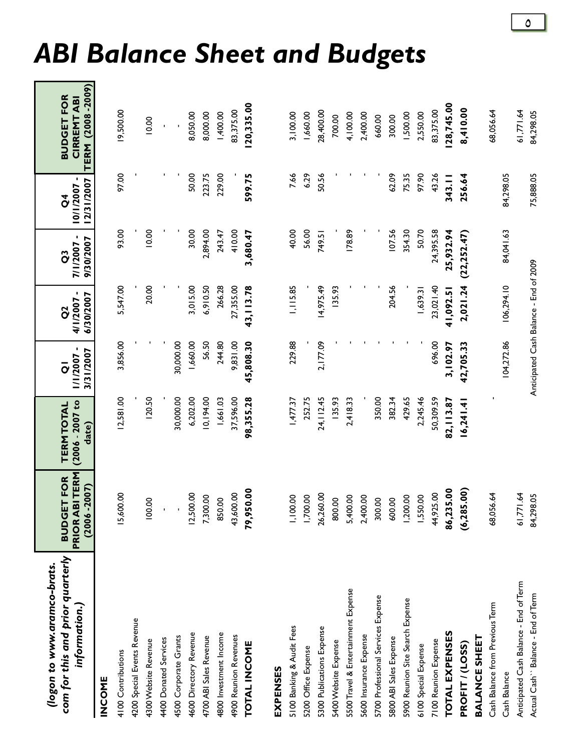| com for this and prior quarterly<br>(logon to www.aramco-brats.<br>information.) | <b>PRIOR ABITERM</b><br>FOR<br>$(2006 - 2007)$<br><b>BUDGET</b> | $(2006 - 2007)$ to<br><b>TERM TOTAL</b><br>date) | 1/1/2007-<br>3/31/2007<br>$\overline{o}$ | 4/1/2007-<br>6/30/2007<br>õ | 7/1/2007 -<br>9/30/2007<br>ĉ | 10/1/2007-<br>12/31/2007<br>ð | TERM (2008-2009)<br><b>BUDGET FOR</b><br><b>CIRREMTABI</b> |
|----------------------------------------------------------------------------------|-----------------------------------------------------------------|--------------------------------------------------|------------------------------------------|-----------------------------|------------------------------|-------------------------------|------------------------------------------------------------|
| <b>INCOME</b>                                                                    |                                                                 |                                                  |                                          |                             |                              |                               |                                                            |
| 4100 Contributions                                                               | 15,600.00                                                       | 12,581.00                                        | 3,856.00                                 | 5,547.00                    | 93.00                        | 97.00                         | 19,500.00                                                  |
| 4200 Special Events Revenue                                                      |                                                                 |                                                  |                                          |                             |                              |                               |                                                            |
| 4300 Website Revenue                                                             | 100.00                                                          | 120.50                                           |                                          | 20.00                       | 10.00                        |                               | 10.00                                                      |
| 4400 Donated Services                                                            |                                                                 |                                                  |                                          |                             |                              |                               |                                                            |
| 4500 Corporate Grants                                                            |                                                                 | 30,000.00                                        | 30,000.00                                |                             |                              |                               |                                                            |
| 4600 Directory Revenue                                                           | 12,500.00                                                       | 6,202.00                                         | 1,660.00                                 | 3,015.00                    | 30.00                        | 50.00                         | 8,050.00                                                   |
| 4700 ABI Sales Revenue                                                           | 7,300.00                                                        | 10,194.00                                        | 56.50                                    | 6,910.50                    | 2,894.00                     | 223.75                        | 8,000.00                                                   |
| 4800 Investment Income                                                           | 850.00                                                          | 1,661.03                                         | 244.80                                   | 266.28                      | 243.47                       | 229.00                        | 1,400.00                                                   |
| 4900 Reunion Revenues                                                            | 43,600.00                                                       | 37,596.00                                        | 9,831.00                                 | 27,355.00                   | 410.00                       |                               | 83,375.00                                                  |
| <b>TOTAL INCOME</b>                                                              | 8<br>79,950.                                                    | 98,355.28                                        | 45,808.30                                | 43, 113.78                  | 3,680.47                     | 599.75                        | 120,335.00                                                 |
| EXPENSES                                                                         |                                                                 |                                                  |                                          |                             |                              |                               |                                                            |
| 5100 Banking & Audit Fees                                                        | 1,100.00                                                        | 1,477.37                                         | 229.88                                   | 1,115.85                    | 40.00                        | 7.66                          | 3,100.00                                                   |
| 5200 Office Expense                                                              | 1,700.00                                                        | 252.75                                           |                                          |                             | 56.00                        | 6.29                          | 1,660.00                                                   |
| 5300 Publications Expense                                                        | 26,260.00                                                       | 24, 12.45                                        | 2,177.09                                 | 14,975.49                   | 749.51                       | 50.56                         | 28,400.00                                                  |
| 5400 Website Expense                                                             | 800.00                                                          | 135.93                                           |                                          | 135.93                      |                              |                               | 700.00                                                     |
| 5500 Travel & Entertainment Expense                                              | 5,400.00                                                        | 2,418.33                                         |                                          |                             | 178.89                       |                               | 4,100.00                                                   |
| 5600 Insurance Expense                                                           | 2,400.00                                                        |                                                  |                                          |                             |                              |                               | 2,400.00                                                   |
| 5700 Professional Services Expense                                               | 300.00                                                          | 350.00                                           |                                          |                             |                              |                               | 660.00                                                     |
| 5800 ABI Sales Expense                                                           | 600.00                                                          | 382.34                                           |                                          | 204.56                      | 107.56                       | 62.09                         | 300.00                                                     |
| 5900 Reunion Site Search Expense                                                 | 1,200.00                                                        | 429.65                                           |                                          |                             | 354.30                       | 75.35                         | 1,500.00                                                   |
| 6100 Special Expense                                                             | 1,550.00                                                        | 2,245.46                                         |                                          | 1,639.31                    | 50.70                        | 97.90                         | 2,550.00                                                   |
| 7100 Reunion Expense                                                             | 44,925.00                                                       | 50,309.59                                        | 696.00                                   | 23,021.40                   | 24,395.58                    | 43.26                         | 83,375.00                                                  |
| <b>TOTAL EXPENSES</b>                                                            | 86,235.00                                                       | 82, 13.87                                        | 3, 102.97                                | 41,092.51                   | 25,932.94                    | 343.11                        | 128,745.00                                                 |
| PROFIT / (LOSS)                                                                  | (6, 285.00)                                                     | 16,241.41                                        | 42,705.33                                | 2,021.24                    | (22, 252.47)                 | 256.64                        | 8,410.00                                                   |
| <b>BALANCE SHEET</b>                                                             |                                                                 |                                                  |                                          |                             |                              |                               |                                                            |
| Cash Balance from Previous Term                                                  | 68,056.64                                                       |                                                  |                                          |                             |                              |                               | 68,056.64                                                  |
| Cash Balance                                                                     |                                                                 |                                                  | 104,272.86                               | 106,294.10                  | 84,041.63                    | 84,298.05                     |                                                            |
| Anticipated Cash Balance - End of Term                                           | 61,771.64                                                       |                                                  |                                          |                             |                              |                               | 61,771.64                                                  |
| Actual Cash" Balance - End of Term                                               | 84,298.05                                                       |                                                  | Anticipated Cash Balance - End of 2009   |                             |                              | 75,888.05                     | 84,298.05                                                  |

# *ABI Balance Sheet and Budgets*

 $\pmb{\circ}$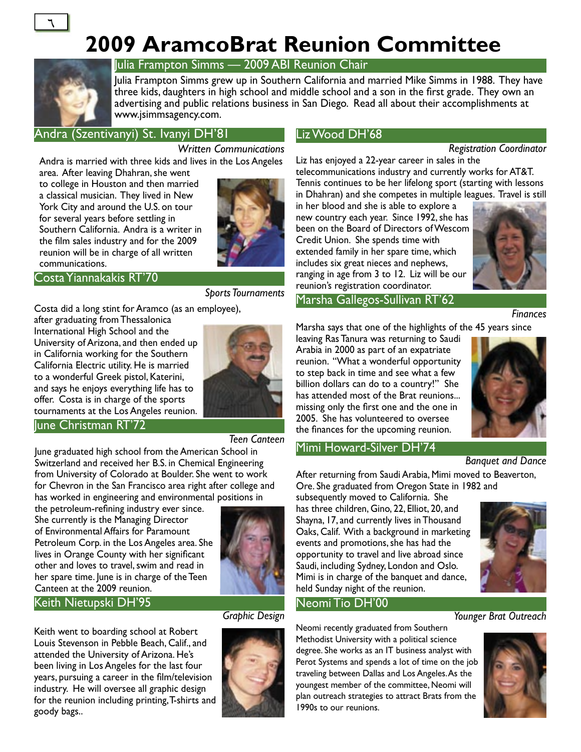## **2009 AramcoBrat Reunion Committee**



 $\overline{\mathcal{L}}$ 

### Julia Frampton Simms — 2009 ABI Reunion Chair

Julia Frampton Simms grew up in Southern California and married Mike Simms in 1988. They have three kids, daughters in high school and middle school and a son in the first grade. They own an advertising and public relations business in San Diego. Read all about their accomplishments at www.jsimmsagency.com.

### Andra (Szentivanyi) St. Ivanyi DH'81

### *Written Communications*

Andra is married with three kids and lives in the Los Angeles area. After leaving Dhahran, she went

to college in Houston and then married a classical musician. They lived in New York City and around the U.S. on tour for several years before settling in Southern California. Andra is a writer in the film sales industry and for the 2009 reunion will be in charge of all written communications.



#### Costa Yiannakakis RT'70

*Sports Tournaments*

Costa did a long stint for Aramco (as an employee),

after graduating from Thessalonica International High School and the University of Arizona, and then ended up in California working for the Southern California Electric utility. He is married to a wonderful Greek pistol, Katerini, and says he enjoys everything life has to offer. Costa is in charge of the sports tournaments at the Los Angeles reunion.



### June Christman RT'72

*Teen Canteen*

June graduated high school from the American School in Switzerland and received her B.S. in Chemical Engineering from University of Colorado at Boulder. She went to work for Chevron in the San Francisco area right after college and has worked in engineering and environmental positions in

the petroleum-refining industry ever since. She currently is the Managing Director of Environmental Affairs for Paramount Petroleum Corp. in the Los Angeles area. She lives in Orange County with her significant other and loves to travel, swim and read in her spare time. June is in charge of the Teen Canteen at the 2009 reunion.

### Keith Nietupski DH'95

Keith went to boarding school at Robert Louis Stevenson in Pebble Beach, Calif., and attended the University of Arizona. He's been living in Los Angeles for the last four years, pursuing a career in the film/television industry. He will oversee all graphic design for the reunion including printing, T-shirts and goody bags..



### *Graphic Design*



### Liz Wood DH'68

*Registration Coordinator*

Liz has enjoyed a 22-year career in sales in the telecommunications industry and currently works for AT&T. Tennis continues to be her lifelong sport (starting with lessons in Dhahran) and she competes in multiple leagues. Travel is still

in her blood and she is able to explore a new country each year. Since 1992, she has been on the Board of Directors of Wescom Credit Union. She spends time with extended family in her spare time, which includes six great nieces and nephews, ranging in age from 3 to 12. Liz will be our reunion's registration coordinator.



### Marsha Gallegos-Sullivan RT'62

*Finances*

Marsha says that one of the highlights of the 45 years since

leaving Ras Tanura was returning to Saudi Arabia in 2000 as part of an expatriate reunion. "What a wonderful opportunity to step back in time and see what a few billion dollars can do to a country!" She has attended most of the Brat reunions... missing only the first one and the one in 2005. She has volunteered to oversee the finances for the upcoming reunion.



#### Mimi Howard-Silver DH'74 *Banquet and Dance*

After returning from Saudi Arabia, Mimi moved to Beaverton, Ore. She graduated from Oregon State in 1982 and

subsequently moved to California. She has three children, Gino, 22, Elliot, 20, and Shayna, 17, and currently lives in Thousand Oaks, Calif. With a background in marketing events and promotions, she has had the opportunity to travel and live abroad since Saudi, including Sydney, London and Oslo. Mimi is in charge of the banquet and dance, held Sunday night of the reunion.



### Neomi Tio DH'00

Neomi recently graduated from Southern Methodist University with a political science degree. She works as an IT business analyst with Perot Systems and spends a lot of time on the job traveling between Dallas and Los Angeles. As the youngest member of the committee, Neomi will plan outreach strategies to attract Brats from the 1990s to our reunions.



*Younger Brat Outreach*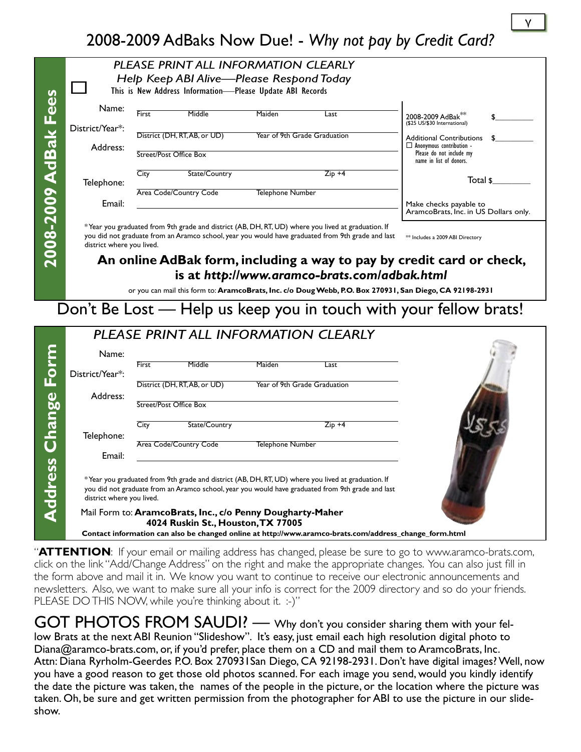### 2008-2009 AdBaks Now Due! - *Why not pay by Credit Card?*

|                            |                           |              | PLEASE PRINT ALL INFORMATION CLEARLY                       |                         |                                                                                                    |                                                                                                          |
|----------------------------|---------------------------|--------------|------------------------------------------------------------|-------------------------|----------------------------------------------------------------------------------------------------|----------------------------------------------------------------------------------------------------------|
|                            |                           |              | Help Keep ABI Alive-Please Respond Today                   |                         |                                                                                                    |                                                                                                          |
|                            |                           |              | This is New Address Information-Please Update ABI Records  |                         |                                                                                                    |                                                                                                          |
|                            |                           |              |                                                            |                         |                                                                                                    |                                                                                                          |
|                            | Name:                     |              |                                                            |                         |                                                                                                    |                                                                                                          |
|                            |                           | <b>First</b> | Middle                                                     | Maiden                  | Last                                                                                               | 2008-2009 AdBak <sup>3</sup>                                                                             |
|                            | District/Year*:           |              |                                                            |                         |                                                                                                    | (\$25 US/\$30 International)                                                                             |
|                            |                           |              | District (DH, RT, AB, or UD)                               |                         | Year of 9th Grade Graduation                                                                       | Additional Contributions                                                                                 |
|                            | Address:                  |              |                                                            |                         |                                                                                                    | $\Box$ Anonymous contribution -                                                                          |
|                            |                           |              | Street/Post Office Box                                     |                         |                                                                                                    | Please do not include my<br>name in list of donors.                                                      |
|                            |                           |              |                                                            |                         |                                                                                                    |                                                                                                          |
|                            |                           | City         | State/Country                                              |                         | $Zip +4$                                                                                           | Total \$                                                                                                 |
|                            | Telephone:                |              |                                                            |                         |                                                                                                    |                                                                                                          |
|                            |                           |              | Area Code/Country Code                                     | Telephone Number        |                                                                                                    |                                                                                                          |
|                            | Email:                    |              |                                                            |                         |                                                                                                    | Make checks payable to<br>AramcoBrats, Inc. in US Dollars only.                                          |
|                            |                           |              |                                                            |                         |                                                                                                    |                                                                                                          |
| 2008-2009 AdBak Fees       |                           |              |                                                            |                         | *Year you graduated from 9th grade and district (AB, DH, RT, UD) where you lived at graduation. If |                                                                                                          |
|                            |                           |              |                                                            |                         | you did not graduate from an Aramco school, year you would have graduated from 9th grade and last  | ** Includes a 2009 ABI Directory                                                                         |
|                            | district where you lived. |              |                                                            |                         |                                                                                                    |                                                                                                          |
|                            |                           |              |                                                            |                         |                                                                                                    | An online AdBak form, including a way to pay by credit card or check,                                    |
|                            |                           |              |                                                            |                         |                                                                                                    |                                                                                                          |
|                            |                           |              |                                                            |                         | is at http://www.aramco-brats.com/adbak.html                                                       |                                                                                                          |
|                            |                           |              |                                                            |                         |                                                                                                    |                                                                                                          |
|                            |                           |              |                                                            |                         |                                                                                                    | or you can mail this form to: AramcoBrats, Inc. c/o Doug Webb, P.O. Box 270931, San Diego, CA 92198-2931 |
|                            |                           |              |                                                            |                         |                                                                                                    |                                                                                                          |
|                            |                           |              |                                                            |                         |                                                                                                    |                                                                                                          |
|                            |                           |              |                                                            |                         |                                                                                                    | Don't Be Lost — Help us keep you in touch with your fellow brats!                                        |
|                            |                           |              |                                                            |                         |                                                                                                    |                                                                                                          |
|                            |                           |              |                                                            |                         | PLEASE PRINT ALL INFORMATION CLEARLY                                                               |                                                                                                          |
|                            |                           |              |                                                            |                         |                                                                                                    |                                                                                                          |
|                            | Name:                     |              |                                                            |                         |                                                                                                    |                                                                                                          |
|                            |                           | <b>First</b> | Middle                                                     | Maiden                  | Last                                                                                               |                                                                                                          |
|                            | District/Year*:           |              |                                                            |                         |                                                                                                    |                                                                                                          |
|                            |                           |              | District (DH, RT, AB, or UD)                               |                         | Year of 9th Grade Graduation                                                                       |                                                                                                          |
|                            | Address:                  |              | Street/Post Office Box                                     |                         |                                                                                                    |                                                                                                          |
|                            |                           |              |                                                            |                         |                                                                                                    |                                                                                                          |
|                            |                           |              |                                                            |                         |                                                                                                    |                                                                                                          |
|                            |                           | City         | State/Country                                              |                         | $Zip +4$                                                                                           |                                                                                                          |
|                            | Telephone:                |              |                                                            |                         |                                                                                                    |                                                                                                          |
|                            |                           |              | Area Code/Country Code                                     | <b>Telephone Number</b> |                                                                                                    |                                                                                                          |
|                            | Email:                    |              |                                                            |                         |                                                                                                    |                                                                                                          |
|                            |                           |              |                                                            |                         |                                                                                                    |                                                                                                          |
|                            |                           |              |                                                            |                         | *Year you graduated from 9th grade and district (AB, DH, RT, UD) where you lived at graduation. If |                                                                                                          |
|                            |                           |              |                                                            |                         | you did not graduate from an Aramco school, year you would have graduated from 9th grade and last  |                                                                                                          |
|                            | district where you lived. |              |                                                            |                         |                                                                                                    |                                                                                                          |
|                            |                           |              | Mail Form to: AramcoBrats, Inc., c/o Penny Dougharty-Maher |                         |                                                                                                    |                                                                                                          |
| <b>Address Change Form</b> |                           |              | 4024 Ruskin St., Houston, TX 77005                         |                         |                                                                                                    |                                                                                                          |

"**ATTENTION**: If your email or mailing address has changed, please be sure to go to www.aramco-brats.com, click on the link "Add/Change Address" on the right and make the appropriate changes. You can also just fill in the form above and mail it in. We know you want to continue to receive our electronic announcements and newsletters. Also, we want to make sure all your info is correct for the 2009 directory and so do your friends. PLEASE DO THIS NOW, while you're thinking about it. :-)"

GOT PHOTOS FROM SAUDI? — Why don't you consider sharing them with your fellow Brats at the next ABI Reunion "Slideshow". It's easy, just email each high resolution digital photo to Diana@aramco-brats.com, or, if you'd prefer, place them on a CD and mail them to AramcoBrats, Inc. Attn: Diana Ryrholm-Geerdes P.O. Box 270931San Diego, CA 92198-2931. Don't have digital images? Well, now you have a good reason to get those old photos scanned. For each image you send, would you kindly identify the date the picture was taken, the names of the people in the picture, or the location where the picture was taken. Oh, be sure and get written permission from the photographer for ABI to use the picture in our slideshow.

 $\mathsf{v}$